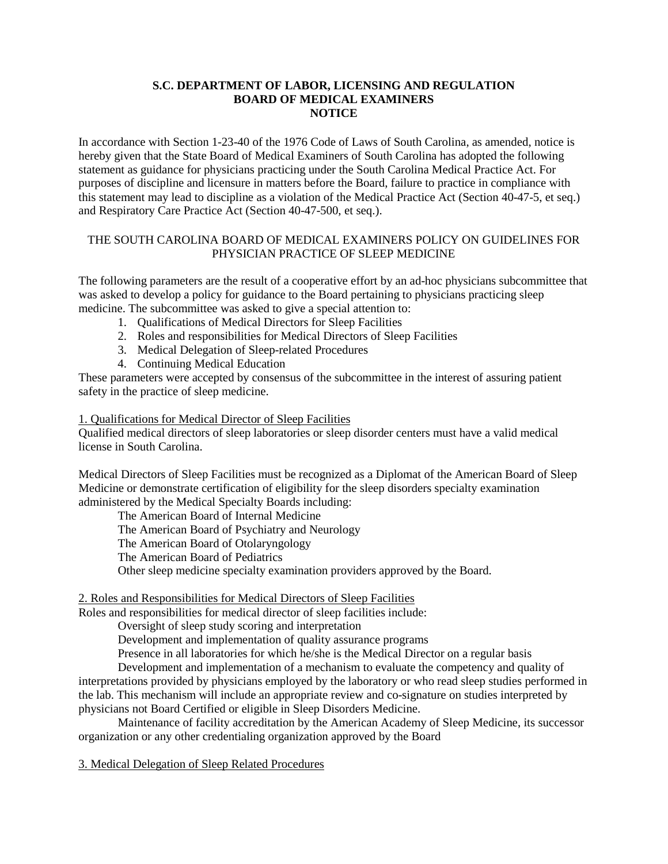### **S.C. DEPARTMENT OF LABOR, LICENSING AND REGULATION BOARD OF MEDICAL EXAMINERS NOTICE**

In accordance with Section 1-23-40 of the 1976 Code of Laws of South Carolina, as amended, notice is hereby given that the State Board of Medical Examiners of South Carolina has adopted the following statement as guidance for physicians practicing under the South Carolina Medical Practice Act. For purposes of discipline and licensure in matters before the Board, failure to practice in compliance with this statement may lead to discipline as a violation of the Medical Practice Act (Section 40-47-5, et seq.) and Respiratory Care Practice Act (Section 40-47-500, et seq.).

# THE SOUTH CAROLINA BOARD OF MEDICAL EXAMINERS POLICY ON GUIDELINES FOR PHYSICIAN PRACTICE OF SLEEP MEDICINE

The following parameters are the result of a cooperative effort by an ad-hoc physicians subcommittee that was asked to develop a policy for guidance to the Board pertaining to physicians practicing sleep medicine. The subcommittee was asked to give a special attention to:

- 1. Qualifications of Medical Directors for Sleep Facilities
- 2. Roles and responsibilities for Medical Directors of Sleep Facilities
- 3. Medical Delegation of Sleep-related Procedures
- 4. Continuing Medical Education

These parameters were accepted by consensus of the subcommittee in the interest of assuring patient safety in the practice of sleep medicine.

#### 1. Qualifications for Medical Director of Sleep Facilities

Qualified medical directors of sleep laboratories or sleep disorder centers must have a valid medical license in South Carolina.

Medical Directors of Sleep Facilities must be recognized as a Diplomat of the American Board of Sleep Medicine or demonstrate certification of eligibility for the sleep disorders specialty examination administered by the Medical Specialty Boards including:

The American Board of Internal Medicine

The American Board of Psychiatry and Neurology

The American Board of Otolaryngology

The American Board of Pediatrics

Other sleep medicine specialty examination providers approved by the Board.

#### 2. Roles and Responsibilities for Medical Directors of Sleep Facilities

Roles and responsibilities for medical director of sleep facilities include:

Oversight of sleep study scoring and interpretation

Development and implementation of quality assurance programs

Presence in all laboratories for which he/she is the Medical Director on a regular basis

Development and implementation of a mechanism to evaluate the competency and quality of interpretations provided by physicians employed by the laboratory or who read sleep studies performed in the lab. This mechanism will include an appropriate review and co-signature on studies interpreted by physicians not Board Certified or eligible in Sleep Disorders Medicine.

Maintenance of facility accreditation by the American Academy of Sleep Medicine, its successor organization or any other credentialing organization approved by the Board

3. Medical Delegation of Sleep Related Procedures